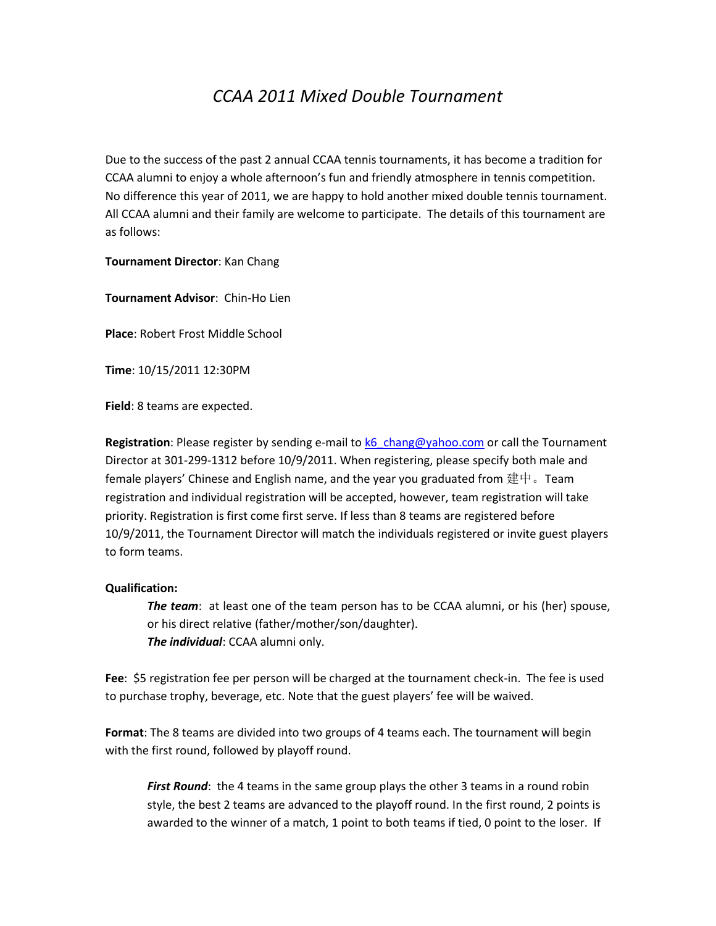## *CCAA 2011 Mixed Double Tournament*

Due to the success of the past 2 annual CCAA tennis tournaments, it has become a tradition for CCAA alumni to enjoy a whole afternoon's fun and friendly atmosphere in tennis competition. No difference this year of 2011, we are happy to hold another mixed double tennis tournament. All CCAA alumni and their family are welcome to participate. The details of this tournament are as follows:

**Tournament Director**: Kan Chang

**Tournament Advisor**: Chin-Ho Lien

**Place**: Robert Frost Middle School

**Time**: 10/15/2011 12:30PM

**Field**: 8 teams are expected.

**Registration**: Please register by sending e-mail to [k6\\_chang@yahoo.com](mailto:k6_chang@yahoo.com) or call the Tournament Director at 301-299-1312 before 10/9/2011. When registering, please specify both male and female players' Chinese and English name, and the year you graduated from 建中。Team registration and individual registration will be accepted, however, team registration will take priority. Registration is first come first serve. If less than 8 teams are registered before 10/9/2011, the Tournament Director will match the individuals registered or invite guest players to form teams.

## **Qualification:**

*The team*: at least one of the team person has to be CCAA alumni, or his (her) spouse, or his direct relative (father/mother/son/daughter). *The individual*: CCAA alumni only.

**Fee**: \$5 registration fee per person will be charged at the tournament check-in. The fee is used to purchase trophy, beverage, etc. Note that the guest players' fee will be waived.

**Format**: The 8 teams are divided into two groups of 4 teams each. The tournament will begin with the first round, followed by playoff round.

*First Round*: the 4 teams in the same group plays the other 3 teams in a round robin style, the best 2 teams are advanced to the playoff round. In the first round, 2 points is awarded to the winner of a match, 1 point to both teams if tied, 0 point to the loser. If